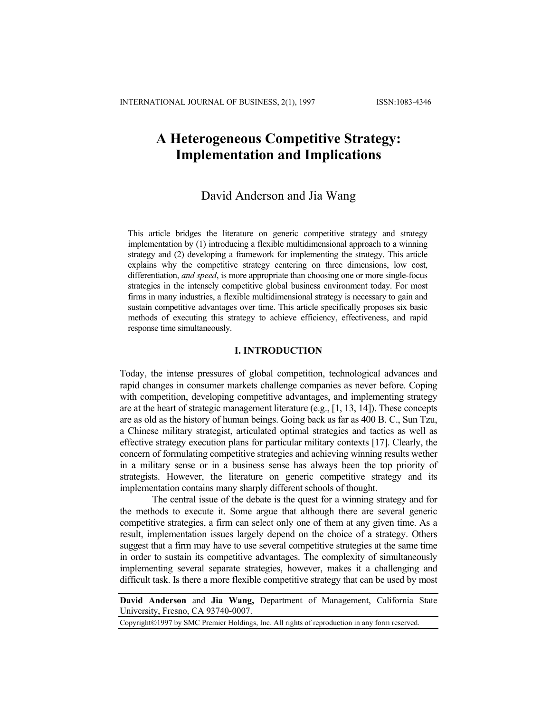# **A Heterogeneous Competitive Strategy: Implementation and Implications**

# David Anderson and Jia Wang

This article bridges the literature on generic competitive strategy and strategy implementation by (1) introducing a flexible multidimensional approach to a winning strategy and (2) developing a framework for implementing the strategy. This article explains why the competitive strategy centering on three dimensions, low cost, differentiation, *and speed*, is more appropriate than choosing one or more single-focus strategies in the intensely competitive global business environment today. For most firms in many industries, a flexible multidimensional strategy is necessary to gain and sustain competitive advantages over time. This article specifically proposes six basic methods of executing this strategy to achieve efficiency, effectiveness, and rapid response time simultaneously.

#### **I. INTRODUCTION**

Today, the intense pressures of global competition, technological advances and rapid changes in consumer markets challenge companies as never before. Coping with competition, developing competitive advantages, and implementing strategy are at the heart of strategic management literature (e.g., [1, 13, 14]). These concepts are as old as the history of human beings. Going back as far as 400 B. C., Sun Tzu, a Chinese military strategist, articulated optimal strategies and tactics as well as effective strategy execution plans for particular military contexts [17]. Clearly, the concern of formulating competitive strategies and achieving winning results wether in a military sense or in a business sense has always been the top priority of strategists. However, the literature on generic competitive strategy and its implementation contains many sharply different schools of thought.

The central issue of the debate is the quest for a winning strategy and for the methods to execute it. Some argue that although there are several generic competitive strategies, a firm can select only one of them at any given time. As a result, implementation issues largely depend on the choice of a strategy. Others suggest that a firm may have to use several competitive strategies at the same time in order to sustain its competitive advantages. The complexity of simultaneously implementing several separate strategies, however, makes it a challenging and difficult task. Is there a more flexible competitive strategy that can be used by most

**David Anderson** and **Jia Wang,** Department of Management, California State University, Fresno, CA 93740-0007.

Copyright©1997 by SMC Premier Holdings, Inc. All rights of reproduction in any form reserved.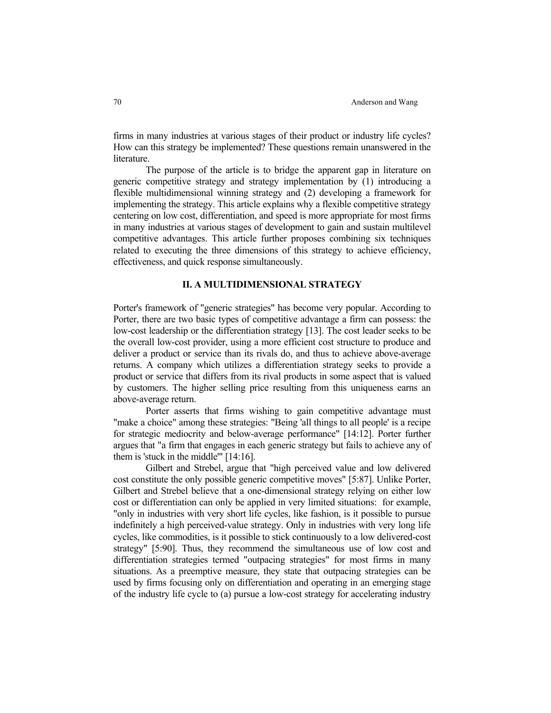firms in many industries at various stages of their product or industry life cycles? How can this strategy be implemented? These questions remain unanswered in the literature.

 The purpose of the article is to bridge the apparent gap in literature on generic competitive strategy and strategy implementation by (1) introducing a flexible multidimensional winning strategy and (2) developing a framework for implementing the strategy. This article explains why a flexible competitive strategy centering on low cost, differentiation, and speed is more appropriate for most firms in many industries at various stages of development to gain and sustain multilevel competitive advantages. This article further proposes combining six techniques related to executing the three dimensions of this strategy to achieve efficiency, effectiveness, and quick response simultaneously.

# **II. A MULTIDIMENSIONAL STRATEGY**

Porter's framework of "generic strategies" has become very popular. According to Porter, there are two basic types of competitive advantage a firm can possess: the low-cost leadership or the differentiation strategy [13]. The cost leader seeks to be the overall low-cost provider, using a more efficient cost structure to produce and deliver a product or service than its rivals do, and thus to achieve above-average returns. A company which utilizes a differentiation strategy seeks to provide a product or service that differs from its rival products in some aspect that is valued by customers. The higher selling price resulting from this uniqueness earns an above-average return.

 Porter asserts that firms wishing to gain competitive advantage must "make a choice" among these strategies: "Being 'all things to all people' is a recipe for strategic mediocrity and below-average performance" [14:12]. Porter further argues that "a firm that engages in each generic strategy but fails to achieve any of them is 'stuck in the middle'" [14:16].

 Gilbert and Strebel, argue that "high perceived value and low delivered cost constitute the only possible generic competitive moves" [5:87]. Unlike Porter, Gilbert and Strebel believe that a one-dimensional strategy relying on either low cost or differentiation can only be applied in very limited situations: for example, "only in industries with very short life cycles, like fashion, is it possible to pursue indefinitely a high perceived-value strategy. Only in industries with very long life cycles, like commodities, is it possible to stick continuously to a low delivered-cost strategy" [5:90]. Thus, they recommend the simultaneous use of low cost and differentiation strategies termed "outpacing strategies" for most firms in many situations. As a preemptive measure, they state that outpacing strategies can be used by firms focusing only on differentiation and operating in an emerging stage of the industry life cycle to (a) pursue a low-cost strategy for accelerating industry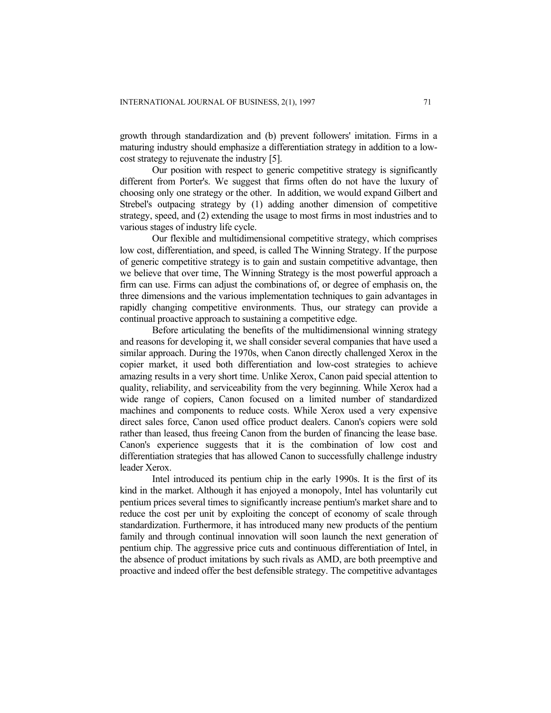growth through standardization and (b) prevent followers' imitation. Firms in a maturing industry should emphasize a differentiation strategy in addition to a lowcost strategy to rejuvenate the industry [5].

Our position with respect to generic competitive strategy is significantly different from Porter's. We suggest that firms often do not have the luxury of choosing only one strategy or the other. In addition, we would expand Gilbert and Strebel's outpacing strategy by (1) adding another dimension of competitive strategy, speed, and (2) extending the usage to most firms in most industries and to various stages of industry life cycle.

Our flexible and multidimensional competitive strategy, which comprises low cost, differentiation, and speed, is called The Winning Strategy. If the purpose of generic competitive strategy is to gain and sustain competitive advantage, then we believe that over time, The Winning Strategy is the most powerful approach a firm can use. Firms can adjust the combinations of, or degree of emphasis on, the three dimensions and the various implementation techniques to gain advantages in rapidly changing competitive environments. Thus, our strategy can provide a continual proactive approach to sustaining a competitive edge.

Before articulating the benefits of the multidimensional winning strategy and reasons for developing it, we shall consider several companies that have used a similar approach. During the 1970s, when Canon directly challenged Xerox in the copier market, it used both differentiation and low-cost strategies to achieve amazing results in a very short time. Unlike Xerox, Canon paid special attention to quality, reliability, and serviceability from the very beginning. While Xerox had a wide range of copiers, Canon focused on a limited number of standardized machines and components to reduce costs. While Xerox used a very expensive direct sales force, Canon used office product dealers. Canon's copiers were sold rather than leased, thus freeing Canon from the burden of financing the lease base. Canon's experience suggests that it is the combination of low cost and differentiation strategies that has allowed Canon to successfully challenge industry leader Xerox.

Intel introduced its pentium chip in the early 1990s. It is the first of its kind in the market. Although it has enjoyed a monopoly, Intel has voluntarily cut pentium prices several times to significantly increase pentium's market share and to reduce the cost per unit by exploiting the concept of economy of scale through standardization. Furthermore, it has introduced many new products of the pentium family and through continual innovation will soon launch the next generation of pentium chip. The aggressive price cuts and continuous differentiation of Intel, in the absence of product imitations by such rivals as AMD, are both preemptive and proactive and indeed offer the best defensible strategy. The competitive advantages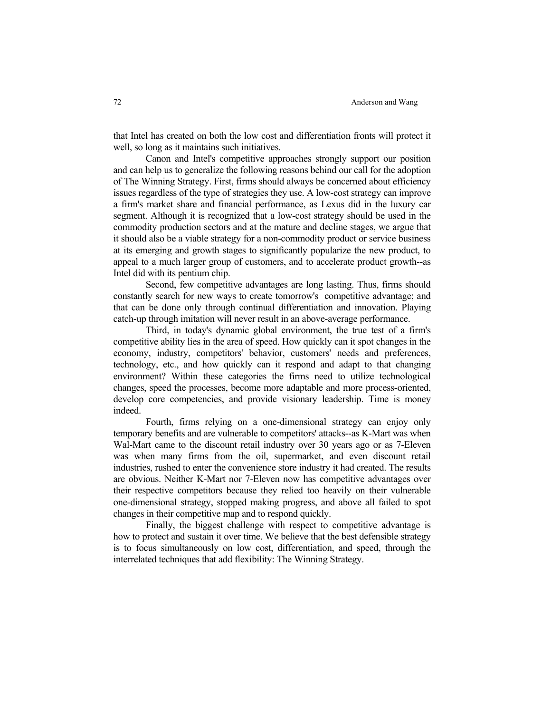that Intel has created on both the low cost and differentiation fronts will protect it well, so long as it maintains such initiatives.

 Canon and Intel's competitive approaches strongly support our position and can help us to generalize the following reasons behind our call for the adoption of The Winning Strategy. First, firms should always be concerned about efficiency issues regardless of the type of strategies they use. A low-cost strategy can improve a firm's market share and financial performance, as Lexus did in the luxury car segment. Although it is recognized that a low-cost strategy should be used in the commodity production sectors and at the mature and decline stages, we argue that it should also be a viable strategy for a non-commodity product or service business at its emerging and growth stages to significantly popularize the new product, to appeal to a much larger group of customers, and to accelerate product growth--as Intel did with its pentium chip.

 Second, few competitive advantages are long lasting. Thus, firms should constantly search for new ways to create tomorrow's competitive advantage; and that can be done only through continual differentiation and innovation. Playing catch-up through imitation will never result in an above-average performance.

 Third, in today's dynamic global environment, the true test of a firm's competitive ability lies in the area of speed. How quickly can it spot changes in the economy, industry, competitors' behavior, customers' needs and preferences, technology, etc., and how quickly can it respond and adapt to that changing environment? Within these categories the firms need to utilize technological changes, speed the processes, become more adaptable and more process-oriented, develop core competencies, and provide visionary leadership. Time is money indeed.

 Fourth, firms relying on a one-dimensional strategy can enjoy only temporary benefits and are vulnerable to competitors' attacks--as K-Mart was when Wal-Mart came to the discount retail industry over 30 years ago or as 7-Eleven was when many firms from the oil, supermarket, and even discount retail industries, rushed to enter the convenience store industry it had created. The results are obvious. Neither K-Mart nor 7-Eleven now has competitive advantages over their respective competitors because they relied too heavily on their vulnerable one-dimensional strategy, stopped making progress, and above all failed to spot changes in their competitive map and to respond quickly.

 Finally, the biggest challenge with respect to competitive advantage is how to protect and sustain it over time. We believe that the best defensible strategy is to focus simultaneously on low cost, differentiation, and speed, through the interrelated techniques that add flexibility: The Winning Strategy.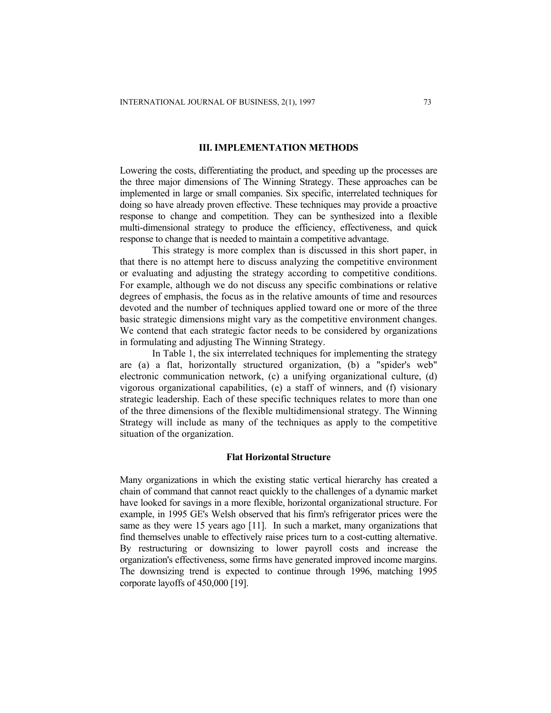#### **III. IMPLEMENTATION METHODS**

Lowering the costs, differentiating the product, and speeding up the processes are the three major dimensions of The Winning Strategy. These approaches can be implemented in large or small companies. Six specific, interrelated techniques for doing so have already proven effective. These techniques may provide a proactive response to change and competition. They can be synthesized into a flexible multi-dimensional strategy to produce the efficiency, effectiveness, and quick response to change that is needed to maintain a competitive advantage.

This strategy is more complex than is discussed in this short paper, in that there is no attempt here to discuss analyzing the competitive environment or evaluating and adjusting the strategy according to competitive conditions. For example, although we do not discuss any specific combinations or relative degrees of emphasis, the focus as in the relative amounts of time and resources devoted and the number of techniques applied toward one or more of the three basic strategic dimensions might vary as the competitive environment changes. We contend that each strategic factor needs to be considered by organizations in formulating and adjusting The Winning Strategy.

In Table 1, the six interrelated techniques for implementing the strategy are (a) a flat, horizontally structured organization, (b) a "spider's web" electronic communication network, (c) a unifying organizational culture, (d) vigorous organizational capabilities, (e) a staff of winners, and (f) visionary strategic leadership. Each of these specific techniques relates to more than one of the three dimensions of the flexible multidimensional strategy. The Winning Strategy will include as many of the techniques as apply to the competitive situation of the organization.

#### **Flat Horizontal Structure**

Many organizations in which the existing static vertical hierarchy has created a chain of command that cannot react quickly to the challenges of a dynamic market have looked for savings in a more flexible, horizontal organizational structure. For example, in 1995 GE's Welsh observed that his firm's refrigerator prices were the same as they were 15 years ago [11]. In such a market, many organizations that find themselves unable to effectively raise prices turn to a cost-cutting alternative. By restructuring or downsizing to lower payroll costs and increase the organization's effectiveness, some firms have generated improved income margins. The downsizing trend is expected to continue through 1996, matching 1995 corporate layoffs of 450,000 [19].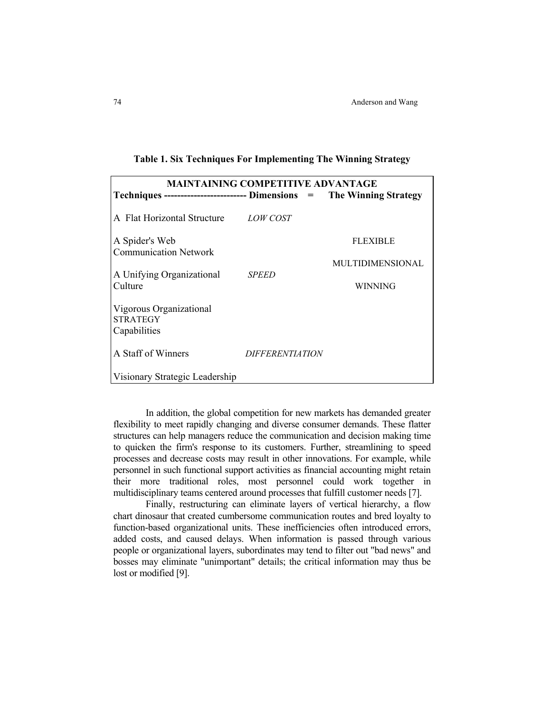| <b>MAINTAINING COMPETITIVE ADVANTAGE</b>                                 |                        |                         |  |  |  |  |  |  |
|--------------------------------------------------------------------------|------------------------|-------------------------|--|--|--|--|--|--|
| Techniques --------------------------- Dimensions = The Winning Strategy |                        |                         |  |  |  |  |  |  |
| A Flat Horizontal Structure                                              | <i>LOW COST</i>        |                         |  |  |  |  |  |  |
| A Spider's Web                                                           |                        | <b>FLEXIBLE</b>         |  |  |  |  |  |  |
| <b>Communication Network</b>                                             |                        | <b>MULTIDIMENSIONAL</b> |  |  |  |  |  |  |
| A Unifying Organizational<br>Culture                                     | <b>SPEED</b>           | WINNING                 |  |  |  |  |  |  |
| Vigorous Organizational<br><b>STRATEGY</b><br>Capabilities               |                        |                         |  |  |  |  |  |  |
| A Staff of Winners                                                       | <i>DIFFERENTIATION</i> |                         |  |  |  |  |  |  |
| Visionary Strategic Leadership                                           |                        |                         |  |  |  |  |  |  |

|  |  | Table 1. Six Techniques For Implementing The Winning Strategy |  |
|--|--|---------------------------------------------------------------|--|
|  |  |                                                               |  |

 In addition, the global competition for new markets has demanded greater flexibility to meet rapidly changing and diverse consumer demands. These flatter structures can help managers reduce the communication and decision making time to quicken the firm's response to its customers. Further, streamlining to speed processes and decrease costs may result in other innovations. For example, while personnel in such functional support activities as financial accounting might retain their more traditional roles, most personnel could work together in multidisciplinary teams centered around processes that fulfill customer needs [7].

 Finally, restructuring can eliminate layers of vertical hierarchy, a flow chart dinosaur that created cumbersome communication routes and bred loyalty to function-based organizational units. These inefficiencies often introduced errors, added costs, and caused delays. When information is passed through various people or organizational layers, subordinates may tend to filter out "bad news" and bosses may eliminate "unimportant" details; the critical information may thus be lost or modified [9].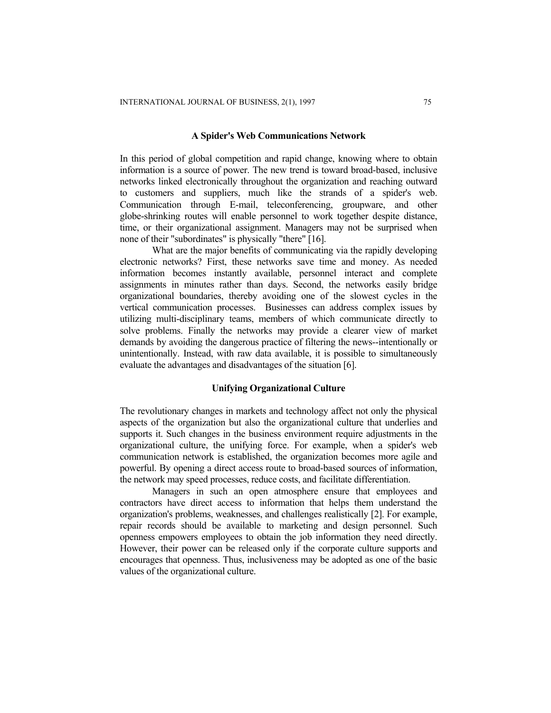#### **A Spider's Web Communications Network**

In this period of global competition and rapid change, knowing where to obtain information is a source of power. The new trend is toward broad-based, inclusive networks linked electronically throughout the organization and reaching outward to customers and suppliers, much like the strands of a spider's web. Communication through E-mail, teleconferencing, groupware, and other globe-shrinking routes will enable personnel to work together despite distance, time, or their organizational assignment. Managers may not be surprised when none of their "subordinates" is physically "there" [16].

What are the major benefits of communicating via the rapidly developing electronic networks? First, these networks save time and money. As needed information becomes instantly available, personnel interact and complete assignments in minutes rather than days. Second, the networks easily bridge organizational boundaries, thereby avoiding one of the slowest cycles in the vertical communication processes. Businesses can address complex issues by utilizing multi-disciplinary teams, members of which communicate directly to solve problems. Finally the networks may provide a clearer view of market demands by avoiding the dangerous practice of filtering the news--intentionally or unintentionally. Instead, with raw data available, it is possible to simultaneously evaluate the advantages and disadvantages of the situation [6].

#### **Unifying Organizational Culture**

The revolutionary changes in markets and technology affect not only the physical aspects of the organization but also the organizational culture that underlies and supports it. Such changes in the business environment require adjustments in the organizational culture, the unifying force. For example, when a spider's web communication network is established, the organization becomes more agile and powerful. By opening a direct access route to broad-based sources of information, the network may speed processes, reduce costs, and facilitate differentiation.

Managers in such an open atmosphere ensure that employees and contractors have direct access to information that helps them understand the organization's problems, weaknesses, and challenges realistically [2]. For example, repair records should be available to marketing and design personnel. Such openness empowers employees to obtain the job information they need directly. However, their power can be released only if the corporate culture supports and encourages that openness. Thus, inclusiveness may be adopted as one of the basic values of the organizational culture.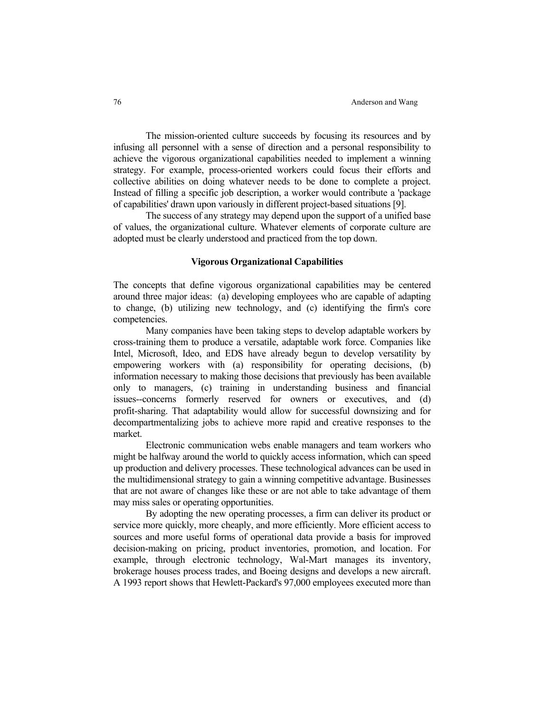The mission-oriented culture succeeds by focusing its resources and by infusing all personnel with a sense of direction and a personal responsibility to achieve the vigorous organizational capabilities needed to implement a winning strategy. For example, process-oriented workers could focus their efforts and collective abilities on doing whatever needs to be done to complete a project. Instead of filling a specific job description, a worker would contribute a 'package of capabilities' drawn upon variously in different project-based situations [9].

 The success of any strategy may depend upon the support of a unified base of values, the organizational culture. Whatever elements of corporate culture are adopted must be clearly understood and practiced from the top down.

#### **Vigorous Organizational Capabilities**

The concepts that define vigorous organizational capabilities may be centered around three major ideas: (a) developing employees who are capable of adapting to change, (b) utilizing new technology, and (c) identifying the firm's core competencies.

 Many companies have been taking steps to develop adaptable workers by cross-training them to produce a versatile, adaptable work force. Companies like Intel, Microsoft, Ideo, and EDS have already begun to develop versatility by empowering workers with (a) responsibility for operating decisions, (b) information necessary to making those decisions that previously has been available only to managers, (c) training in understanding business and financial issues--concerns formerly reserved for owners or executives, and (d) profit-sharing. That adaptability would allow for successful downsizing and for decompartmentalizing jobs to achieve more rapid and creative responses to the market.

 Electronic communication webs enable managers and team workers who might be halfway around the world to quickly access information, which can speed up production and delivery processes. These technological advances can be used in the multidimensional strategy to gain a winning competitive advantage. Businesses that are not aware of changes like these or are not able to take advantage of them may miss sales or operating opportunities.

 By adopting the new operating processes, a firm can deliver its product or service more quickly, more cheaply, and more efficiently. More efficient access to sources and more useful forms of operational data provide a basis for improved decision-making on pricing, product inventories, promotion, and location. For example, through electronic technology, Wal-Mart manages its inventory, brokerage houses process trades, and Boeing designs and develops a new aircraft. A 1993 report shows that Hewlett-Packard's 97,000 employees executed more than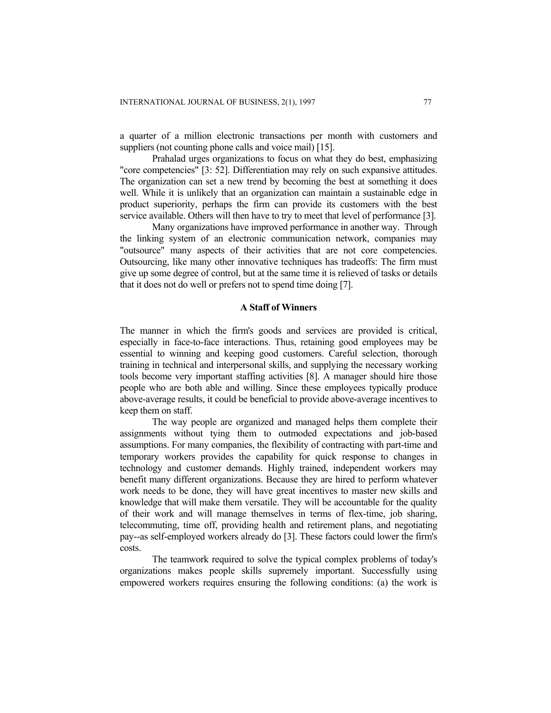a quarter of a million electronic transactions per month with customers and suppliers (not counting phone calls and voice mail) [15].

Prahalad urges organizations to focus on what they do best, emphasizing "core competencies" [3: 52]. Differentiation may rely on such expansive attitudes. The organization can set a new trend by becoming the best at something it does well. While it is unlikely that an organization can maintain a sustainable edge in product superiority, perhaps the firm can provide its customers with the best service available. Others will then have to try to meet that level of performance [3].

Many organizations have improved performance in another way. Through the linking system of an electronic communication network, companies may "outsource" many aspects of their activities that are not core competencies. Outsourcing, like many other innovative techniques has tradeoffs: The firm must give up some degree of control, but at the same time it is relieved of tasks or details that it does not do well or prefers not to spend time doing [7].

## **A Staff of Winners**

The manner in which the firm's goods and services are provided is critical, especially in face-to-face interactions. Thus, retaining good employees may be essential to winning and keeping good customers. Careful selection, thorough training in technical and interpersonal skills, and supplying the necessary working tools become very important staffing activities [8]. A manager should hire those people who are both able and willing. Since these employees typically produce above-average results, it could be beneficial to provide above-average incentives to keep them on staff.

The way people are organized and managed helps them complete their assignments without tying them to outmoded expectations and job-based assumptions. For many companies, the flexibility of contracting with part-time and temporary workers provides the capability for quick response to changes in technology and customer demands. Highly trained, independent workers may benefit many different organizations. Because they are hired to perform whatever work needs to be done, they will have great incentives to master new skills and knowledge that will make them versatile. They will be accountable for the quality of their work and will manage themselves in terms of flex-time, job sharing, telecommuting, time off, providing health and retirement plans, and negotiating pay--as self-employed workers already do [3]. These factors could lower the firm's costs.

The teamwork required to solve the typical complex problems of today's organizations makes people skills supremely important. Successfully using empowered workers requires ensuring the following conditions: (a) the work is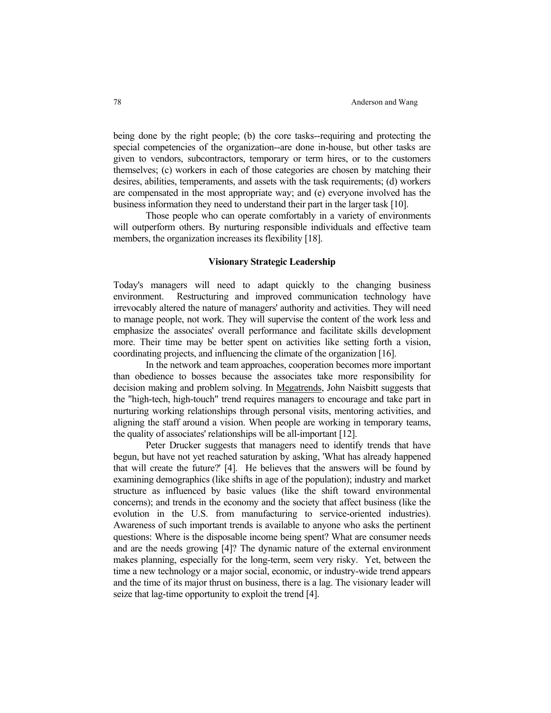being done by the right people; (b) the core tasks--requiring and protecting the special competencies of the organization--are done in-house, but other tasks are given to vendors, subcontractors, temporary or term hires, or to the customers themselves; (c) workers in each of those categories are chosen by matching their desires, abilities, temperaments, and assets with the task requirements; (d) workers are compensated in the most appropriate way; and (e) everyone involved has the business information they need to understand their part in the larger task [10].

 Those people who can operate comfortably in a variety of environments will outperform others. By nurturing responsible individuals and effective team members, the organization increases its flexibility [18].

## **Visionary Strategic Leadership**

Today's managers will need to adapt quickly to the changing business environment. Restructuring and improved communication technology have irrevocably altered the nature of managers' authority and activities. They will need to manage people, not work. They will supervise the content of the work less and emphasize the associates' overall performance and facilitate skills development more. Their time may be better spent on activities like setting forth a vision, coordinating projects, and influencing the climate of the organization [16].

 In the network and team approaches, cooperation becomes more important than obedience to bosses because the associates take more responsibility for decision making and problem solving. In Megatrends, John Naisbitt suggests that the "high-tech, high-touch" trend requires managers to encourage and take part in nurturing working relationships through personal visits, mentoring activities, and aligning the staff around a vision. When people are working in temporary teams, the quality of associates' relationships will be all-important [12].

 Peter Drucker suggests that managers need to identify trends that have begun, but have not yet reached saturation by asking, 'What has already happened that will create the future?' [4]. He believes that the answers will be found by examining demographics (like shifts in age of the population); industry and market structure as influenced by basic values (like the shift toward environmental concerns); and trends in the economy and the society that affect business (like the evolution in the U.S. from manufacturing to service-oriented industries). Awareness of such important trends is available to anyone who asks the pertinent questions: Where is the disposable income being spent? What are consumer needs and are the needs growing [4]? The dynamic nature of the external environment makes planning, especially for the long-term, seem very risky. Yet, between the time a new technology or a major social, economic, or industry-wide trend appears and the time of its major thrust on business, there is a lag. The visionary leader will seize that lag-time opportunity to exploit the trend [4].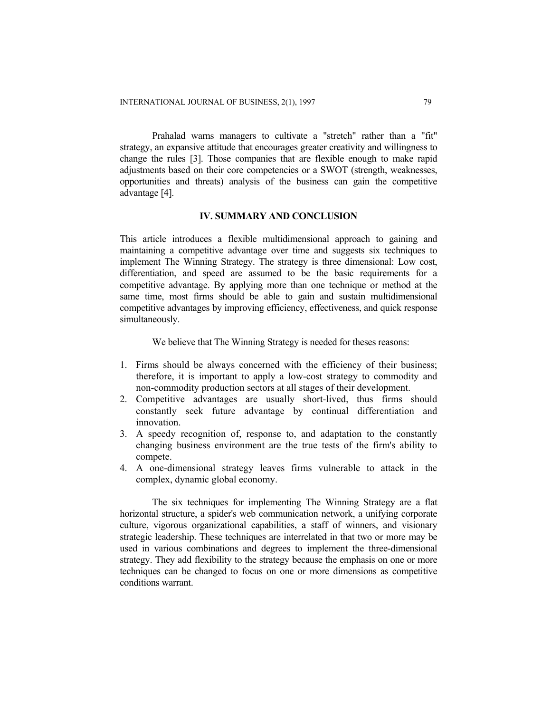Prahalad warns managers to cultivate a "stretch" rather than a "fit" strategy, an expansive attitude that encourages greater creativity and willingness to change the rules [3]. Those companies that are flexible enough to make rapid adjustments based on their core competencies or a SWOT (strength, weaknesses, opportunities and threats) analysis of the business can gain the competitive advantage [4].

#### **IV. SUMMARY AND CONCLUSION**

This article introduces a flexible multidimensional approach to gaining and maintaining a competitive advantage over time and suggests six techniques to implement The Winning Strategy. The strategy is three dimensional: Low cost, differentiation, and speed are assumed to be the basic requirements for a competitive advantage. By applying more than one technique or method at the same time, most firms should be able to gain and sustain multidimensional competitive advantages by improving efficiency, effectiveness, and quick response simultaneously.

We believe that The Winning Strategy is needed for theses reasons:

- 1. Firms should be always concerned with the efficiency of their business; therefore, it is important to apply a low-cost strategy to commodity and non-commodity production sectors at all stages of their development.
- 2. Competitive advantages are usually short-lived, thus firms should constantly seek future advantage by continual differentiation and innovation.
- 3. A speedy recognition of, response to, and adaptation to the constantly changing business environment are the true tests of the firm's ability to compete.
- 4. A one-dimensional strategy leaves firms vulnerable to attack in the complex, dynamic global economy.

The six techniques for implementing The Winning Strategy are a flat horizontal structure, a spider's web communication network, a unifying corporate culture, vigorous organizational capabilities, a staff of winners, and visionary strategic leadership. These techniques are interrelated in that two or more may be used in various combinations and degrees to implement the three-dimensional strategy. They add flexibility to the strategy because the emphasis on one or more techniques can be changed to focus on one or more dimensions as competitive conditions warrant.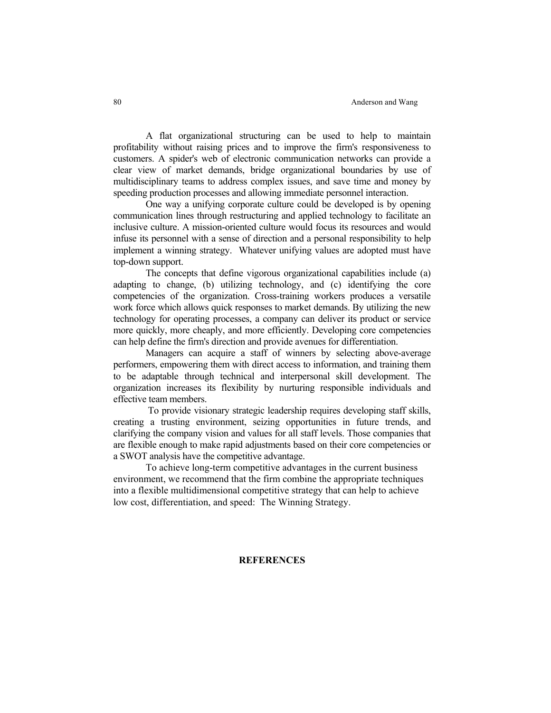#### 80 Anderson and Wang

 A flat organizational structuring can be used to help to maintain profitability without raising prices and to improve the firm's responsiveness to customers. A spider's web of electronic communication networks can provide a clear view of market demands, bridge organizational boundaries by use of multidisciplinary teams to address complex issues, and save time and money by speeding production processes and allowing immediate personnel interaction.

 One way a unifying corporate culture could be developed is by opening communication lines through restructuring and applied technology to facilitate an inclusive culture. A mission-oriented culture would focus its resources and would infuse its personnel with a sense of direction and a personal responsibility to help implement a winning strategy. Whatever unifying values are adopted must have top-down support.

 The concepts that define vigorous organizational capabilities include (a) adapting to change, (b) utilizing technology, and (c) identifying the core competencies of the organization. Cross-training workers produces a versatile work force which allows quick responses to market demands. By utilizing the new technology for operating processes, a company can deliver its product or service more quickly, more cheaply, and more efficiently. Developing core competencies can help define the firm's direction and provide avenues for differentiation.

 Managers can acquire a staff of winners by selecting above-average performers, empowering them with direct access to information, and training them to be adaptable through technical and interpersonal skill development. The organization increases its flexibility by nurturing responsible individuals and effective team members.

 To provide visionary strategic leadership requires developing staff skills, creating a trusting environment, seizing opportunities in future trends, and clarifying the company vision and values for all staff levels. Those companies that are flexible enough to make rapid adjustments based on their core competencies or a SWOT analysis have the competitive advantage.

 To achieve long-term competitive advantages in the current business environment, we recommend that the firm combine the appropriate techniques into a flexible multidimensional competitive strategy that can help to achieve low cost, differentiation, and speed: The Winning Strategy.

## **REFERENCES**